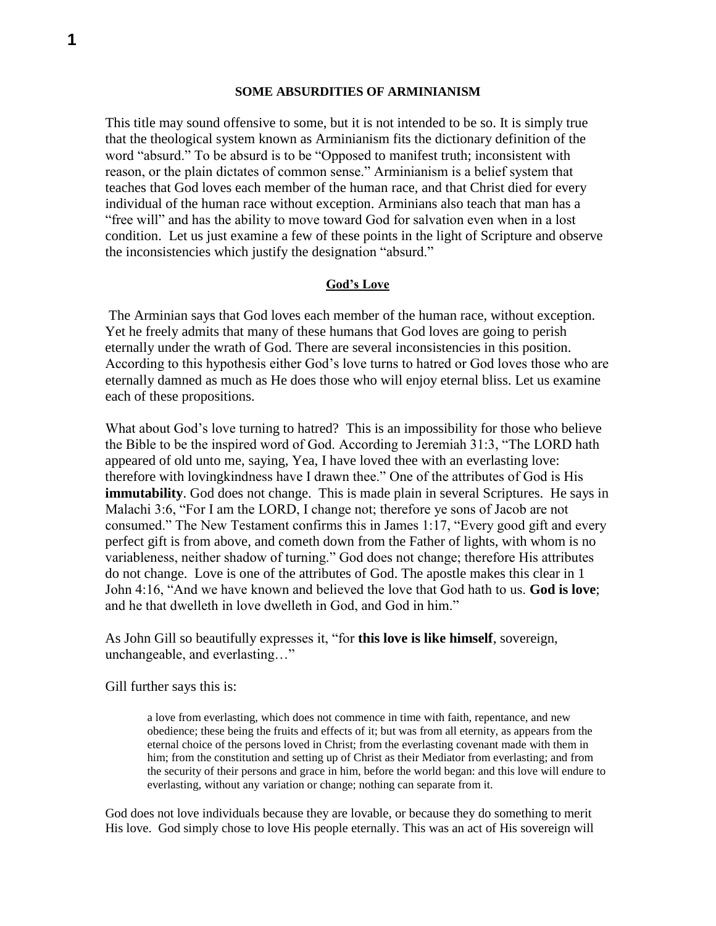#### **SOME ABSURDITIES OF ARMINIANISM**

This title may sound offensive to some, but it is not intended to be so. It is simply true that the theological system known as Arminianism fits the dictionary definition of the word "absurd." To be absurd is to be "Opposed to manifest truth; inconsistent with reason, or the plain dictates of common sense." Arminianism is a belief system that teaches that God loves each member of the human race, and that Christ died for every individual of the human race without exception. Arminians also teach that man has a "free will" and has the ability to move toward God for salvation even when in a lost condition. Let us just examine a few of these points in the light of Scripture and observe the inconsistencies which justify the designation "absurd."

### **God's Love**

The Arminian says that God loves each member of the human race, without exception. Yet he freely admits that many of these humans that God loves are going to perish eternally under the wrath of God. There are several inconsistencies in this position. According to this hypothesis either God's love turns to hatred or God loves those who are eternally damned as much as He does those who will enjoy eternal bliss. Let us examine each of these propositions.

What about God's love turning to hatred? This is an impossibility for those who believe the Bible to be the inspired word of God. According to Jeremiah 31:3, "The LORD hath appeared of old unto me, saying, Yea, I have loved thee with an everlasting love: therefore with lovingkindness have I drawn thee." One of the attributes of God is His **immutability**. God does not change. This is made plain in several Scriptures. He says in Malachi 3:6, "For I am the LORD, I change not; therefore ye sons of Jacob are not consumed." The New Testament confirms this in James 1:17, "Every good gift and every perfect gift is from above, and cometh down from the Father of lights, with whom is no variableness, neither shadow of turning." God does not change; therefore His attributes do not change. Love is one of the attributes of God. The apostle makes this clear in 1 John 4:16, "And we have known and believed the love that God hath to us. **God is love**; and he that dwelleth in love dwelleth in God, and God in him."

As John Gill so beautifully expresses it, "for **this love is like himself**, sovereign, unchangeable, and everlasting…"

Gill further says this is:

a love from everlasting, which does not commence in time with faith, repentance, and new obedience; these being the fruits and effects of it; but was from all eternity, as appears from the eternal choice of the persons loved in Christ; from the everlasting covenant made with them in him; from the constitution and setting up of Christ as their Mediator from everlasting; and from the security of their persons and grace in him, before the world began: and this love will endure to everlasting, without any variation or change; nothing can separate from it.

God does not love individuals because they are lovable, or because they do something to merit His love. God simply chose to love His people eternally. This was an act of His sovereign will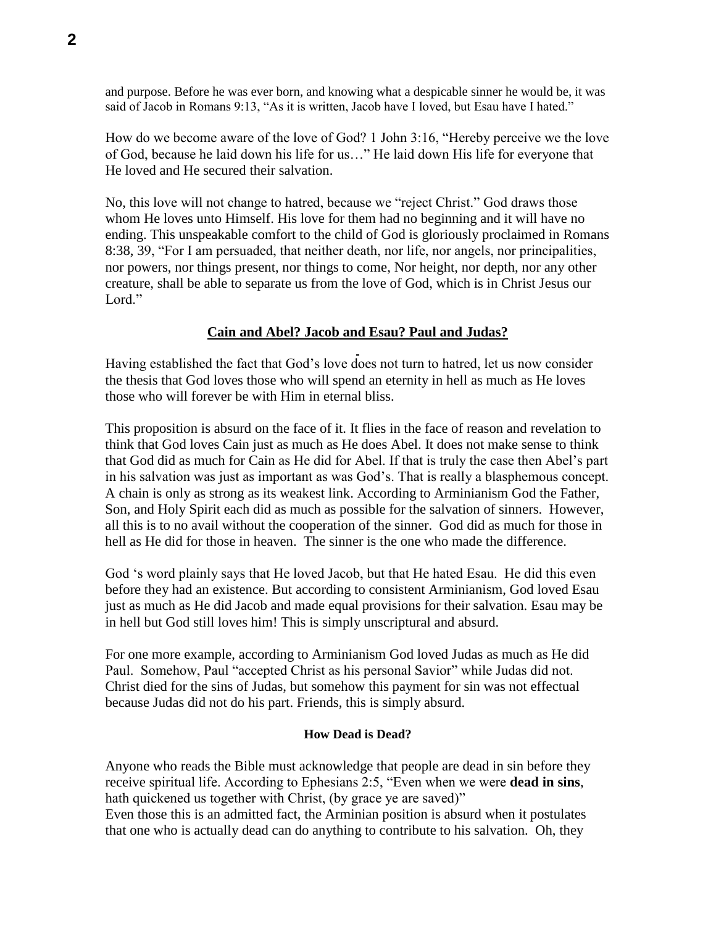and purpose. Before he was ever born, and knowing what a despicable sinner he would be, it was said of Jacob in Romans 9:13, "As it is written, Jacob have I loved, but Esau have I hated."

How do we become aware of the love of God? 1 John 3:16, "Hereby perceive we the love of God, because he laid down his life for us…" He laid down His life for everyone that He loved and He secured their salvation.

No, this love will not change to hatred, because we "reject Christ." God draws those whom He loves unto Himself. His love for them had no beginning and it will have no ending. This unspeakable comfort to the child of God is gloriously proclaimed in Romans 8:38, 39, "For I am persuaded, that neither death, nor life, nor angels, nor principalities, nor powers, nor things present, nor things to come, Nor height, nor depth, nor any other creature, shall be able to separate us from the love of God, which is in Christ Jesus our Lord."

# **Cain and Abel? Jacob and Esau? Paul and Judas?**

Having established the fact that God's love does not turn to hatred, let us now consider the thesis that God loves those who will spend an eternity in hell as much as He loves those who will forever be with Him in eternal bliss.

This proposition is absurd on the face of it. It flies in the face of reason and revelation to think that God loves Cain just as much as He does Abel. It does not make sense to think that God did as much for Cain as He did for Abel. If that is truly the case then Abel's part in his salvation was just as important as was God's. That is really a blasphemous concept. A chain is only as strong as its weakest link. According to Arminianism God the Father, Son, and Holy Spirit each did as much as possible for the salvation of sinners. However, all this is to no avail without the cooperation of the sinner. God did as much for those in hell as He did for those in heaven. The sinner is the one who made the difference.

God 's word plainly says that He loved Jacob, but that He hated Esau. He did this even before they had an existence. But according to consistent Arminianism, God loved Esau just as much as He did Jacob and made equal provisions for their salvation. Esau may be in hell but God still loves him! This is simply unscriptural and absurd.

For one more example, according to Arminianism God loved Judas as much as He did Paul. Somehow, Paul "accepted Christ as his personal Savior" while Judas did not. Christ died for the sins of Judas, but somehow this payment for sin was not effectual because Judas did not do his part. Friends, this is simply absurd.

# **How Dead is Dead?**

Anyone who reads the Bible must acknowledge that people are dead in sin before they receive spiritual life. According to Ephesians 2:5, "Even when we were **dead in sins**, hath quickened us together with Christ, (by grace ye are saved)"

Even those this is an admitted fact, the Arminian position is absurd when it postulates that one who is actually dead can do anything to contribute to his salvation. Oh, they